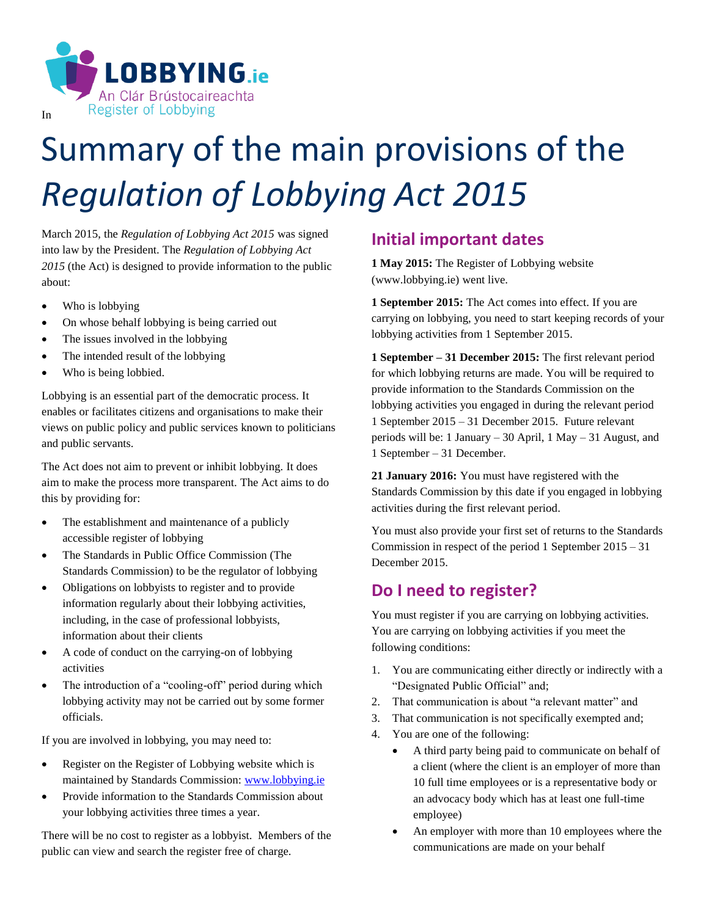

# Summary of the main provisions of the *Regulation of Lobbying Act 2015*

March 2015, the *Regulation of Lobbying Act 2015* was signed into law by the President. The *Regulation of Lobbying Act 2015* (the Act) is designed to provide information to the public about:

- Who is lobbying
- On whose behalf lobbying is being carried out
- The issues involved in the lobbying
- The intended result of the lobbying
- Who is being lobbied.

Lobbying is an essential part of the democratic process. It enables or facilitates citizens and organisations to make their views on public policy and public services known to politicians and public servants.

The Act does not aim to prevent or inhibit lobbying. It does aim to make the process more transparent. The Act aims to do this by providing for:

- The establishment and maintenance of a publicly accessible register of lobbying
- The Standards in Public Office Commission (The Standards Commission) to be the regulator of lobbying
- Obligations on lobbyists to register and to provide information regularly about their lobbying activities, including, in the case of professional lobbyists, information about their clients
- A code of conduct on the carrying-on of lobbying activities
- The introduction of a "cooling-off" period during which lobbying activity may not be carried out by some former officials.

If you are involved in lobbying, you may need to:

- Register on the Register of Lobbying website which is maintained by Standards Commission: [www.lobbying.ie](http://www.lobbying.ie/)
- Provide information to the Standards Commission about your lobbying activities three times a year.

There will be no cost to register as a lobbyist. Members of the public can view and search the register free of charge.

#### **Initial important dates**

**1 May 2015:** The Register of Lobbying website (www.lobbying.ie) went live.

**1 September 2015:** The Act comes into effect. If you are carrying on lobbying, you need to start keeping records of your lobbying activities from 1 September 2015.

**1 September – 31 December 2015:** The first relevant period for which lobbying returns are made. You will be required to provide information to the Standards Commission on the lobbying activities you engaged in during the relevant period 1 September 2015 – 31 December 2015. Future relevant periods will be: 1 January – 30 April, 1 May – 31 August, and 1 September – 31 December.

**21 January 2016:** You must have registered with the Standards Commission by this date if you engaged in lobbying activities during the first relevant period.

You must also provide your first set of returns to the Standards Commission in respect of the period 1 September 2015 – 31 December 2015.

### **Do I need to register?**

You must register if you are carrying on lobbying activities. You are carrying on lobbying activities if you meet the following conditions:

- 1. You are communicating either directly or indirectly with a "Designated Public Official" and;
- 2. That communication is about "a relevant matter" and
- 3. That communication is not specifically exempted and;
- 4. You are one of the following:
	- A third party being paid to communicate on behalf of a client (where the client is an employer of more than 10 full time employees or is a representative body or an advocacy body which has at least one full-time employee)
	- An employer with more than 10 employees where the communications are made on your behalf